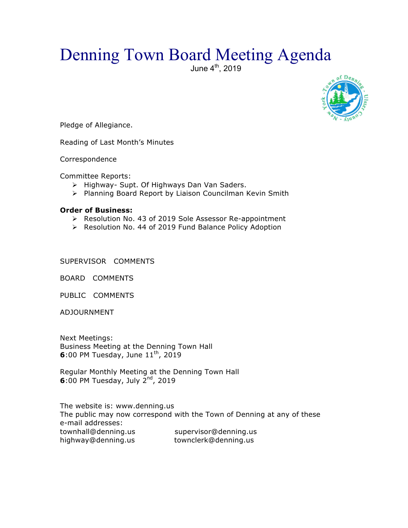## Denning Town Board Meeting Agenda

June 4<sup>th</sup>, 2019



Pledge of Allegiance.

Reading of Last Month's Minutes

Correspondence

Committee Reports:

- > Highway- Supt. Of Highways Dan Van Saders.
- $\triangleright$  Planning Board Report by Liaison Councilman Kevin Smith

## **Order of Business:**

- > Resolution No. 43 of 2019 Sole Assessor Re-appointment
- > Resolution No. 44 of 2019 Fund Balance Policy Adoption

SUPERVISOR COMMENTS

BOARD COMMENTS

PUBLIC COMMENTS

ADJOURNMENT

Next Meetings: Business Meeting at the Denning Town Hall **6**:00 PM Tuesday, June 11<sup>th</sup>, 2019

Regular Monthly Meeting at the Denning Town Hall **6**:00 PM Tuesday, July 2nd, 2019

The website is: www.denning.us The public may now correspond with the Town of Denning at any of these e-mail addresses: townhall@denning.us supervisor@denning.us highway@denning.us townclerk@denning.us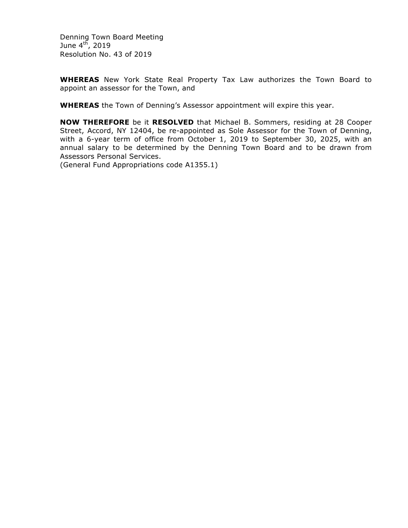Denning Town Board Meeting June  $4^{t\bar{h}}$ , 2019 Resolution No. 43 of 2019

**WHEREAS** New York State Real Property Tax Law authorizes the Town Board to appoint an assessor for the Town, and

**WHEREAS** the Town of Denning's Assessor appointment will expire this year.

**NOW THEREFORE** be it **RESOLVED** that Michael B. Sommers, residing at 28 Cooper Street, Accord, NY 12404, be re-appointed as Sole Assessor for the Town of Denning, with a 6-year term of office from October 1, 2019 to September 30, 2025, with an annual salary to be determined by the Denning Town Board and to be drawn from Assessors Personal Services.

(General Fund Appropriations code A1355.1)